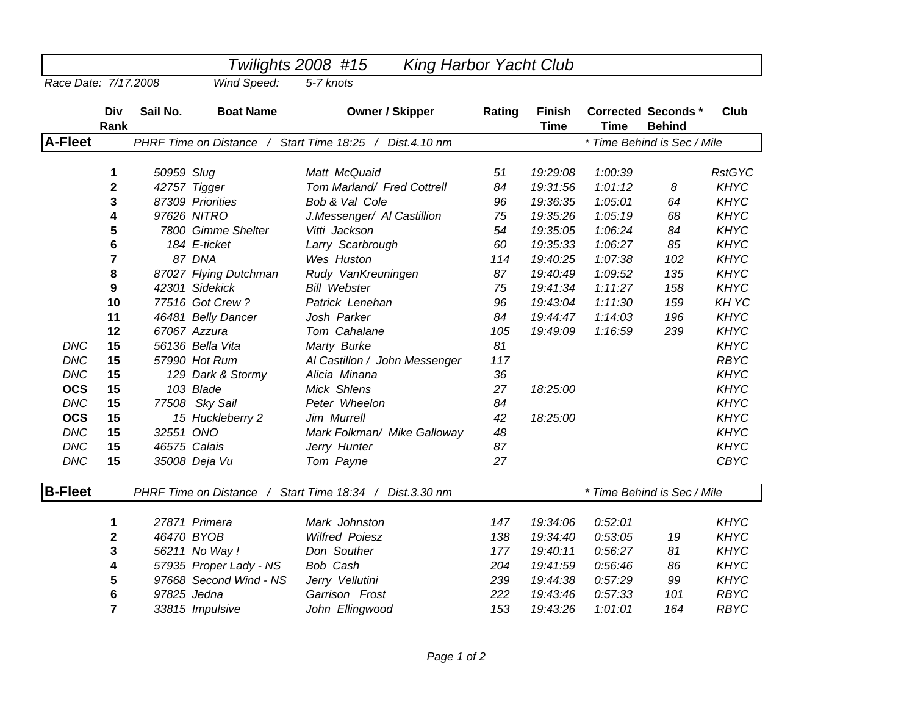| <b>King Harbor Yacht Club</b><br>Twilights 2008 #15 |                                                               |            |                        |                                                         |        |                              |                             |                                            |               |  |
|-----------------------------------------------------|---------------------------------------------------------------|------------|------------------------|---------------------------------------------------------|--------|------------------------------|-----------------------------|--------------------------------------------|---------------|--|
| Race Date: 7/17.2008                                |                                                               |            | Wind Speed:            | 5-7 knots                                               |        |                              |                             |                                            |               |  |
|                                                     | Div<br>Rank                                                   | Sail No.   | <b>Boat Name</b>       | <b>Owner / Skipper</b>                                  | Rating | <b>Finish</b><br><b>Time</b> | <b>Time</b>                 | <b>Corrected Seconds*</b><br><b>Behind</b> | <b>Club</b>   |  |
| <b>A-Fleet</b>                                      |                                                               |            |                        | PHRF Time on Distance / Start Time 18:25 / Dist.4.10 nm |        |                              | * Time Behind is Sec / Mile |                                            |               |  |
|                                                     |                                                               |            |                        |                                                         |        |                              |                             |                                            |               |  |
|                                                     | 1                                                             | 50959 Slug |                        | Matt McQuaid                                            | 51     | 19:29:08                     | 1:00:39                     |                                            | <b>RstGYC</b> |  |
|                                                     | $\mathbf 2$                                                   |            | 42757 Tigger           | Tom Marland/ Fred Cottrell                              | 84     | 19:31:56                     | 1:01:12                     | 8                                          | KHYC          |  |
|                                                     | 3                                                             |            | 87309 Priorities       | Bob & Val Cole                                          | 96     | 19:36:35                     | 1:05:01                     | 64                                         | <b>KHYC</b>   |  |
|                                                     | 4                                                             |            | 97626 NITRO            | J.Messenger/ Al Castillion                              | 75     | 19:35:26                     | 1:05:19                     | 68                                         | <b>KHYC</b>   |  |
|                                                     | 5                                                             |            | 7800 Gimme Shelter     | Vitti Jackson                                           | 54     | 19:35:05                     | 1:06:24                     | 84                                         | <b>KHYC</b>   |  |
|                                                     | 6                                                             |            | 184 E-ticket           | Larry Scarbrough                                        | 60     | 19:35:33                     | 1:06:27                     | 85                                         | <b>KHYC</b>   |  |
|                                                     | $\overline{\mathbf{r}}$                                       |            | 87 DNA                 | Wes Huston                                              | 114    | 19:40:25                     | 1:07:38                     | 102                                        | <b>KHYC</b>   |  |
|                                                     | 8                                                             |            | 87027 Flying Dutchman  | Rudy VanKreuningen                                      | 87     | 19:40:49                     | 1:09:52                     | 135                                        | <b>KHYC</b>   |  |
|                                                     | 9                                                             |            | 42301 Sidekick         | <b>Bill Webster</b>                                     | 75     | 19:41:34                     | 1:11:27                     | 158                                        | <b>KHYC</b>   |  |
|                                                     | 10                                                            |            | 77516 Got Crew?        | Patrick Lenehan                                         | 96     | 19:43:04                     | 1:11:30                     | 159                                        | KH YC         |  |
|                                                     | 11                                                            |            | 46481 Belly Dancer     | Josh Parker                                             | 84     | 19:44:47                     | 1:14:03                     | 196                                        | <b>KHYC</b>   |  |
|                                                     | 12                                                            |            | 67067 Azzura           | Tom Cahalane                                            | 105    | 19:49:09                     | 1:16:59                     | 239                                        | <b>KHYC</b>   |  |
| <b>DNC</b>                                          | 15                                                            |            | 56136 Bella Vita       | Marty Burke                                             | 81     |                              |                             |                                            | <b>KHYC</b>   |  |
| <b>DNC</b>                                          | 15                                                            |            | 57990 Hot Rum          | Al Castillon / John Messenger                           | 117    |                              |                             |                                            | <b>RBYC</b>   |  |
| <b>DNC</b>                                          | 15                                                            |            | 129 Dark & Stormy      | Alicia Minana                                           | 36     |                              |                             |                                            | <b>KHYC</b>   |  |
| <b>OCS</b>                                          | 15                                                            |            | 103 Blade              | <b>Mick Shlens</b>                                      | 27     | 18:25:00                     |                             |                                            | <b>KHYC</b>   |  |
| <b>DNC</b>                                          | 15                                                            |            | 77508 Sky Sail         | Peter Wheelon                                           | 84     |                              |                             |                                            | <b>KHYC</b>   |  |
| <b>OCS</b>                                          | 15                                                            |            | 15 Huckleberry 2       | Jim Murrell                                             | 42     | 18:25:00                     |                             |                                            | <b>KHYC</b>   |  |
| <b>DNC</b>                                          | 15                                                            | 32551 ONO  |                        | Mark Folkman/ Mike Galloway                             | 48     |                              |                             |                                            | <b>KHYC</b>   |  |
| <b>DNC</b>                                          | 15                                                            |            | 46575 Calais           | Jerry Hunter                                            | 87     |                              |                             |                                            | <b>KHYC</b>   |  |
| <b>DNC</b>                                          | 15                                                            |            | 35008 Deja Vu          | Tom Payne                                               | 27     |                              |                             |                                            | <b>CBYC</b>   |  |
| <b>B-Fleet</b>                                      | PHRF Time on Distance /<br>Start Time 18:34 /<br>Dist.3.30 nm |            |                        |                                                         |        | * Time Behind is Sec / Mile  |                             |                                            |               |  |
|                                                     |                                                               |            |                        |                                                         |        |                              |                             |                                            |               |  |
|                                                     | 1                                                             |            | 27871 Primera          | Mark Johnston                                           | 147    | 19:34:06                     | 0:52:01                     |                                            | <b>KHYC</b>   |  |
|                                                     | $\mathbf 2$                                                   |            | 46470 BYOB             | <b>Wilfred Poiesz</b>                                   | 138    | 19:34:40                     | 0:53:05                     | 19                                         | <b>KHYC</b>   |  |
|                                                     | 3                                                             |            | 56211 No Way!          | Don Souther                                             | 177    | 19:40:11                     | 0.56.27                     | 81                                         | <b>KHYC</b>   |  |
|                                                     | 4                                                             |            | 57935 Proper Lady - NS | Bob Cash                                                | 204    | 19:41:59                     | 0:56:46                     | 86                                         | <b>KHYC</b>   |  |
|                                                     | 5                                                             |            | 97668 Second Wind - NS | Jerry Vellutini                                         | 239    | 19:44:38                     | 0:57:29                     | 99                                         | <b>KHYC</b>   |  |
|                                                     | 6                                                             |            | 97825 Jedna            | Garrison Frost                                          | 222    | 19:43:46                     | 0:57:33                     | 101                                        | <b>RBYC</b>   |  |
|                                                     | $\overline{7}$                                                |            | 33815 Impulsive        | John Ellingwood                                         | 153    | 19:43:26                     | 1:01:01                     | 164                                        | <b>RBYC</b>   |  |
|                                                     |                                                               |            |                        |                                                         |        |                              |                             |                                            |               |  |

٦

 $\mathsf{\Gamma}$